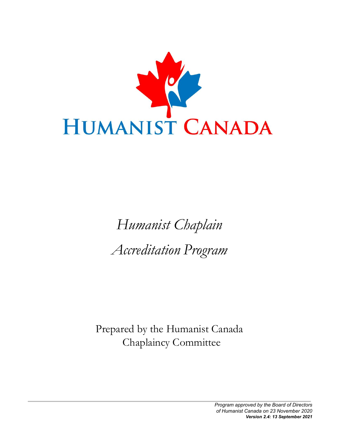

# *Humanist Chaplain Accreditation Program*

Prepared by the Humanist Canada Chaplaincy Committee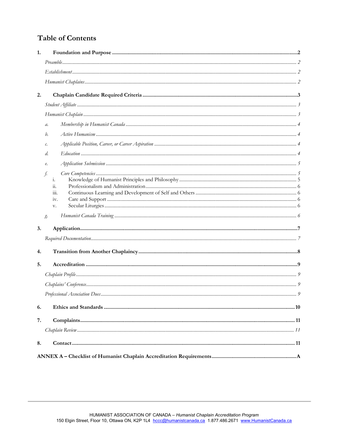# **Table of Contents**

| 2.<br>$a$ .<br>h.<br>с.<br>d.<br>$\ell.$<br>f.<br>i.<br>$\dddot{a}$ .<br>iii.<br>iv.<br>v.<br>g<br>3.<br>4.<br>5.<br>6.<br>7.<br>8. | 1. |  |  |  |  |
|-------------------------------------------------------------------------------------------------------------------------------------|----|--|--|--|--|
|                                                                                                                                     |    |  |  |  |  |
|                                                                                                                                     |    |  |  |  |  |
|                                                                                                                                     |    |  |  |  |  |
|                                                                                                                                     |    |  |  |  |  |
|                                                                                                                                     |    |  |  |  |  |
|                                                                                                                                     |    |  |  |  |  |
|                                                                                                                                     |    |  |  |  |  |
|                                                                                                                                     |    |  |  |  |  |
|                                                                                                                                     |    |  |  |  |  |
|                                                                                                                                     |    |  |  |  |  |
|                                                                                                                                     |    |  |  |  |  |
|                                                                                                                                     |    |  |  |  |  |
|                                                                                                                                     |    |  |  |  |  |
|                                                                                                                                     |    |  |  |  |  |
|                                                                                                                                     |    |  |  |  |  |
|                                                                                                                                     |    |  |  |  |  |
|                                                                                                                                     |    |  |  |  |  |
|                                                                                                                                     |    |  |  |  |  |
|                                                                                                                                     |    |  |  |  |  |
|                                                                                                                                     |    |  |  |  |  |
|                                                                                                                                     |    |  |  |  |  |
|                                                                                                                                     |    |  |  |  |  |
|                                                                                                                                     |    |  |  |  |  |
|                                                                                                                                     |    |  |  |  |  |
|                                                                                                                                     |    |  |  |  |  |
|                                                                                                                                     |    |  |  |  |  |
|                                                                                                                                     |    |  |  |  |  |
|                                                                                                                                     |    |  |  |  |  |
|                                                                                                                                     |    |  |  |  |  |
|                                                                                                                                     |    |  |  |  |  |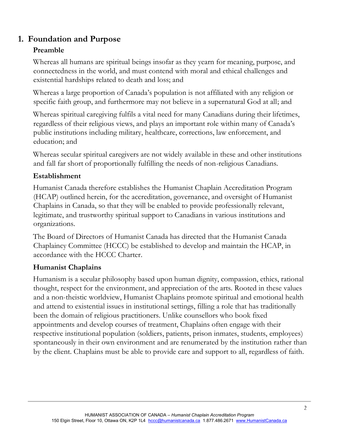# **1. Foundation and Purpose**

# **Preamble**

Whereas all humans are spiritual beings insofar as they yearn for meaning, purpose, and connectedness in the world, and must contend with moral and ethical challenges and existential hardships related to death and loss; and

Whereas a large proportion of Canada's population is not affiliated with any religion or specific faith group, and furthermore may not believe in a supernatural God at all; and

Whereas spiritual caregiving fulfils a vital need for many Canadians during their lifetimes, regardless of their religious views, and plays an important role within many of Canada's public institutions including military, healthcare, corrections, law enforcement, and education; and

Whereas secular spiritual caregivers are not widely available in these and other institutions and fall far short of proportionally fulfilling the needs of non-religious Canadians.

# **Establishment**

Humanist Canada therefore establishes the Humanist Chaplain Accreditation Program (HCAP) outlined herein, for the accreditation, governance, and oversight of Humanist Chaplains in Canada, so that they will be enabled to provide professionally relevant, legitimate, and trustworthy spiritual support to Canadians in various institutions and organizations.

The Board of Directors of Humanist Canada has directed that the Humanist Canada Chaplaincy Committee (HCCC) be established to develop and maintain the HCAP, in accordance with the HCCC Charter.

# **Humanist Chaplains**

Humanism is a secular philosophy based upon human dignity, compassion, ethics, rational thought, respect for the environment, and appreciation of the arts. Rooted in these values and a non-theistic worldview, Humanist Chaplains promote spiritual and emotional health and attend to existential issues in institutional settings, filling a role that has traditionally been the domain of religious practitioners. Unlike counsellors who book fixed appointments and develop courses of treatment, Chaplains often engage with their respective institutional population (soldiers, patients, prison inmates, students, employees) spontaneously in their own environment and are renumerated by the institution rather than by the client. Chaplains must be able to provide care and support to all, regardless of faith.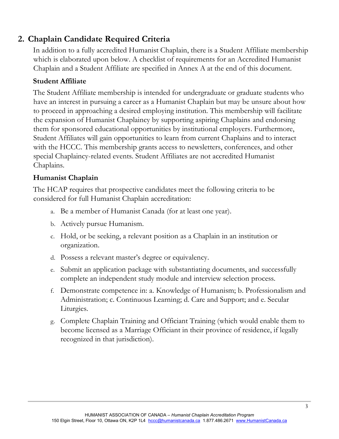# **2. Chaplain Candidate Required Criteria**

In addition to a fully accredited Humanist Chaplain, there is a Student Affiliate membership which is elaborated upon below. A checklist of requirements for an Accredited Humanist Chaplain and a Student Affiliate are specified in Annex A at the end of this document.

## **Student Affiliate**

The Student Affiliate membership is intended for undergraduate or graduate students who have an interest in pursuing a career as a Humanist Chaplain but may be unsure about how to proceed in approaching a desired employing institution. This membership will facilitate the expansion of Humanist Chaplaincy by supporting aspiring Chaplains and endorsing them for sponsored educational opportunities by institutional employers. Furthermore, Student Affiliates will gain opportunities to learn from current Chaplains and to interact with the HCCC. This membership grants access to newsletters, conferences, and other special Chaplaincy-related events. Student Affiliates are not accredited Humanist Chaplains.

## **Humanist Chaplain**

The HCAP requires that prospective candidates meet the following criteria to be considered for full Humanist Chaplain accreditation:

- a. Be a member of Humanist Canada (for at least one year).
- b. Actively pursue Humanism.
- c. Hold, or be seeking, a relevant position as a Chaplain in an institution or organization.
- d. Possess a relevant master's degree or equivalency.
- e. Submit an application package with substantiating documents, and successfully complete an independent study module and interview selection process.
- f. Demonstrate competence in: a. Knowledge of Humanism; b. Professionalism and Administration; c. Continuous Learning; d. Care and Support; and e. Secular Liturgies.
- g. Complete Chaplain Training and Officiant Training (which would enable them to become licensed as a Marriage Officiant in their province of residence, if legally recognized in that jurisdiction).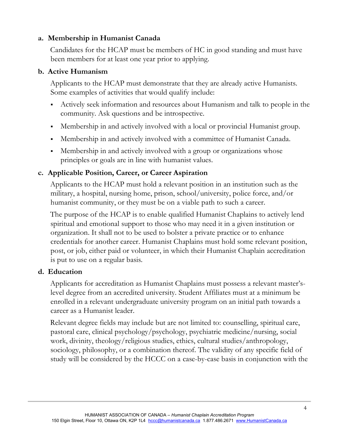## **a. Membership in Humanist Canada**

Candidates for the HCAP must be members of HC in good standing and must have been members for at least one year prior to applying.

## **b. Active Humanism**

Applicants to the HCAP must demonstrate that they are already active Humanists. Some examples of activities that would qualify include:

- Actively seek information and resources about Humanism and talk to people in the community. Ask questions and be introspective.
- Membership in and actively involved with a local or provincial Humanist group.
- Membership in and actively involved with a committee of Humanist Canada.
- Membership in and actively involved with a group or organizations whose principles or goals are in line with humanist values.

## **c. Applicable Position, Career, or Career Aspiration**

Applicants to the HCAP must hold a relevant position in an institution such as the military, a hospital, nursing home, prison, school/university, police force, and/or humanist community, or they must be on a viable path to such a career.

The purpose of the HCAP is to enable qualified Humanist Chaplains to actively lend spiritual and emotional support to those who may need it in a given institution or organization. It shall not to be used to bolster a private practice or to enhance credentials for another career. Humanist Chaplains must hold some relevant position, post, or job, either paid or volunteer, in which their Humanist Chaplain accreditation is put to use on a regular basis.

## **d. Education**

Applicants for accreditation as Humanist Chaplains must possess a relevant master'slevel degree from an accredited university. Student Affiliates must at a minimum be enrolled in a relevant undergraduate university program on an initial path towards a career as a Humanist leader.

Relevant degree fields may include but are not limited to: counselling, spiritual care, pastoral care, clinical psychology/psychology, psychiatric medicine/nursing, social work, divinity, theology/religious studies, ethics, cultural studies/anthropology, sociology, philosophy, or a combination thereof. The validity of any specific field of study will be considered by the HCCC on a case-by-case basis in conjunction with the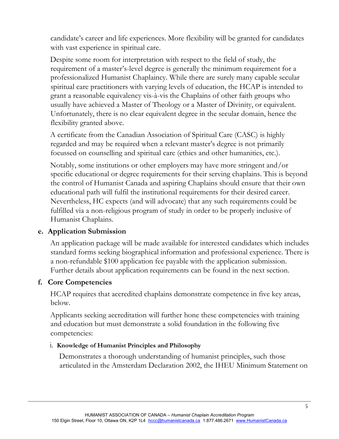candidate's career and life experiences. More flexibility will be granted for candidates with vast experience in spiritual care.

Despite some room for interpretation with respect to the field of study, the requirement of a master's-level degree is generally the minimum requirement for a professionalized Humanist Chaplaincy. While there are surely many capable secular spiritual care practitioners with varying levels of education, the HCAP is intended to grant a reasonable equivalency vis-à-vis the Chaplains of other faith groups who usually have achieved a Master of Theology or a Master of Divinity, or equivalent. Unfortunately, there is no clear equivalent degree in the secular domain, hence the flexibility granted above.

A certificate from the Canadian Association of Spiritual Care (CASC) is highly regarded and may be required when a relevant master's degree is not primarily focussed on counselling and spiritual care (ethics and other humanities, etc.).

Notably, some institutions or other employers may have more stringent and/or specific educational or degree requirements for their serving chaplains. This is beyond the control of Humanist Canada and aspiring Chaplains should ensure that their own educational path will fulfil the institutional requirements for their desired career. Nevertheless, HC expects (and will advocate) that any such requirements could be fulfilled via a non-religious program of study in order to be properly inclusive of Humanist Chaplains.

## **e. Application Submission**

An application package will be made available for interested candidates which includes standard forms seeking biographical information and professional experience. There is a non-refundable \$100 application fee payable with the application submission. Further details about application requirements can be found in the next section.

## **f. Core Competencies**

HCAP requires that accredited chaplains demonstrate competence in five key areas, below.

Applicants seeking accreditation will further hone these competencies with training and education but must demonstrate a solid foundation in the following five competencies:

#### i. **Knowledge of Humanist Principles and Philosophy**

Demonstrates a thorough understanding of humanist principles, such those articulated in the Amsterdam Declaration 2002, the IHEU Minimum Statement on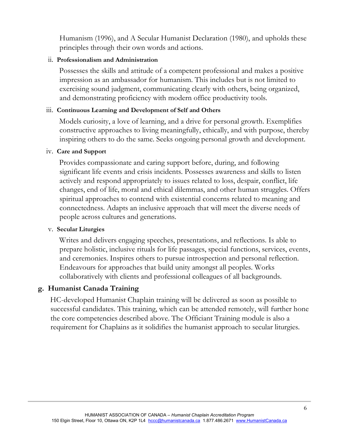Humanism (1996), and A Secular Humanist Declaration (1980), and upholds these principles through their own words and actions.

#### ii. **Professionalism and Administration**

Possesses the skills and attitude of a competent professional and makes a positive impression as an ambassador for humanism. This includes but is not limited to exercising sound judgment, communicating clearly with others, being organized, and demonstrating proficiency with modern office productivity tools.

#### iii. **Continuous Learning and Development of Self and Others**

Models curiosity, a love of learning, and a drive for personal growth. Exemplifies constructive approaches to living meaningfully, ethically, and with purpose, thereby inspiring others to do the same. Seeks ongoing personal growth and development.

#### iv. **Care and Support**

Provides compassionate and caring support before, during, and following significant life events and crisis incidents. Possesses awareness and skills to listen actively and respond appropriately to issues related to loss, despair, conflict, life changes, end of life, moral and ethical dilemmas, and other human struggles. Offers spiritual approaches to contend with existential concerns related to meaning and connectedness. Adapts an inclusive approach that will meet the diverse needs of people across cultures and generations.

#### v. **Secular Liturgies**

Writes and delivers engaging speeches, presentations, and reflections. Is able to prepare holistic, inclusive rituals for life passages, special functions, services, events, and ceremonies. Inspires others to pursue introspection and personal reflection. Endeavours for approaches that build unity amongst all peoples. Works collaboratively with clients and professional colleagues of all backgrounds.

#### **g. Humanist Canada Training**

HC-developed Humanist Chaplain training will be delivered as soon as possible to successful candidates. This training, which can be attended remotely, will further hone the core competencies described above. The Officiant Training module is also a requirement for Chaplains as it solidifies the humanist approach to secular liturgies.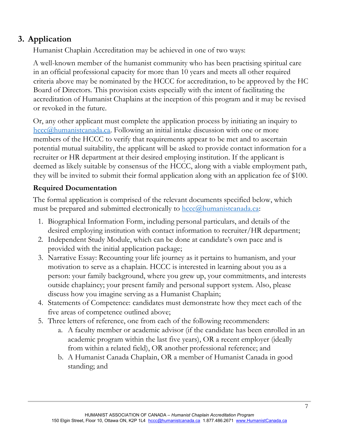# **3. Application**

Humanist Chaplain Accreditation may be achieved in one of two ways:

A well-known member of the humanist community who has been practising spiritual care in an official professional capacity for more than 10 years and meets all other required criteria above may be nominated by the HCCC for accreditation, to be approved by the HC Board of Directors. This provision exists especially with the intent of facilitating the accreditation of Humanist Chaplains at the inception of this program and it may be revised or revoked in the future.

Or, any other applicant must complete the application process by initiating an inquiry to hccc@humanistcanada.ca. Following an initial intake discussion with one or more members of the HCCC to verify that requirements appear to be met and to ascertain potential mutual suitability, the applicant will be asked to provide contact information for a recruiter or HR department at their desired employing institution. If the applicant is deemed as likely suitable by consensus of the HCCC, along with a viable employment path, they will be invited to submit their formal application along with an application fee of \$100.

# **Required Documentation**

The formal application is comprised of the relevant documents specified below, which must be prepared and submitted electronically to  $hccc@$ humanistcanada.ca:

- 1. Biographical Information Form, including personal particulars, and details of the desired employing institution with contact information to recruiter/HR department;
- 2. Independent Study Module, which can be done at candidate's own pace and is provided with the initial application package;
- 3. Narrative Essay: Recounting your life journey as it pertains to humanism, and your motivation to serve as a chaplain. HCCC is interested in learning about you as a person: your family background, where you grew up, your commitments, and interests outside chaplaincy; your present family and personal support system. Also, please discuss how you imagine serving as a Humanist Chaplain;
- 4. Statements of Competence: candidates must demonstrate how they meet each of the five areas of competence outlined above;
- 5. Three letters of reference, one from each of the following recommenders:
	- a. A faculty member or academic advisor (if the candidate has been enrolled in an academic program within the last five years), OR a recent employer (ideally from within a related field), OR another professional reference; and
	- b. A Humanist Canada Chaplain, OR a member of Humanist Canada in good standing; and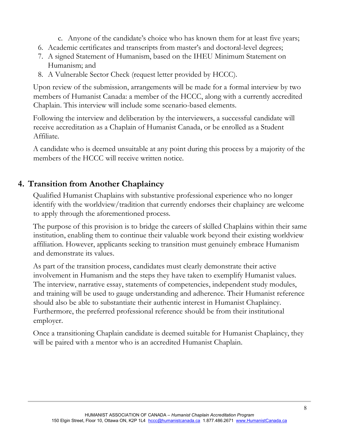c. Anyone of the candidate's choice who has known them for at least five years;

- 6. Academic certificates and transcripts from master's and doctoral-level degrees;
- 7. A signed Statement of Humanism, based on the IHEU Minimum Statement on Humanism; and
- 8. A Vulnerable Sector Check (request letter provided by HCCC).

Upon review of the submission, arrangements will be made for a formal interview by two members of Humanist Canada: a member of the HCCC, along with a currently accredited Chaplain. This interview will include some scenario-based elements.

Following the interview and deliberation by the interviewers, a successful candidate will receive accreditation as a Chaplain of Humanist Canada, or be enrolled as a Student Affiliate.

A candidate who is deemed unsuitable at any point during this process by a majority of the members of the HCCC will receive written notice.

# **4. Transition from Another Chaplaincy**

Qualified Humanist Chaplains with substantive professional experience who no longer identify with the worldview/tradition that currently endorses their chaplaincy are welcome to apply through the aforementioned process.

The purpose of this provision is to bridge the careers of skilled Chaplains within their same institution, enabling them to continue their valuable work beyond their existing worldview affiliation. However, applicants seeking to transition must genuinely embrace Humanism and demonstrate its values.

As part of the transition process, candidates must clearly demonstrate their active involvement in Humanism and the steps they have taken to exemplify Humanist values. The interview, narrative essay, statements of competencies, independent study modules, and training will be used to gauge understanding and adherence. Their Humanist reference should also be able to substantiate their authentic interest in Humanist Chaplaincy. Furthermore, the preferred professional reference should be from their institutional employer.

Once a transitioning Chaplain candidate is deemed suitable for Humanist Chaplaincy, they will be paired with a mentor who is an accredited Humanist Chaplain.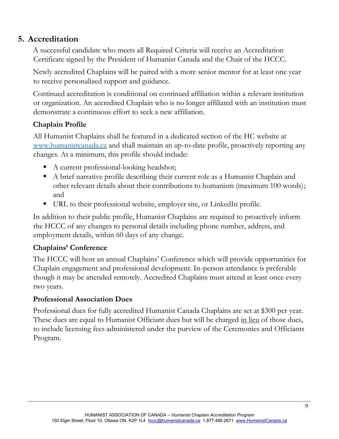# **5. Accreditation**

A successful candidate who meets all Required Criteria will receive an Accreditation Certificate signed by the President of Humanist Canada and the Chair of the HCCC.

Newly accredited Chaplains will be paired with a more senior mentor for at least one year to receive personalized support and guidance.

Continued accreditation is conditional on continued affiliation within a relevant institution or organization. An accredited Chaplain who is no longer affiliated with an institution must demonstrate a continuous effort to seek a new affiliation.

# **Chaplain Profile**

All Humanist Chaplains shall be featured in a dedicated section of the HC website at www.humanistcanada.ca and shall maintain an up-to-date profile, proactively reporting any changes. At a minimum, this profile should include:

- A current professional-looking headshot;
- A brief narrative profile describing their current role as a Humanist Chaplain and other relevant details about their contributions to humanism (maximum 100 words); and
- URL to their professional website, employer site, or LinkedIn profile.

In addition to their public profile, Humanist Chaplains are required to proactively inform the HCCC of any changes to personal details including phone number, address, and employment details, within 60 days of any change.

## Chaplains' Conference

The HCCC will host an annual Chaplains' Conference which will provide opportunities for Chaplain engagement and professional development. In-person attendance is preferable though it may be attended remotely. Accredited Chaplains must attend at least once every two years.

## **Professional Association Dues**

Professional dues for fully accredited Humanist Canada Chaplains are set at \$300 per year. These dues are equal to Humanist Officiant dues but will be charged in lieu of those dues, to include licensing fees administered under the purview of the Ceremonies and Officiants Program.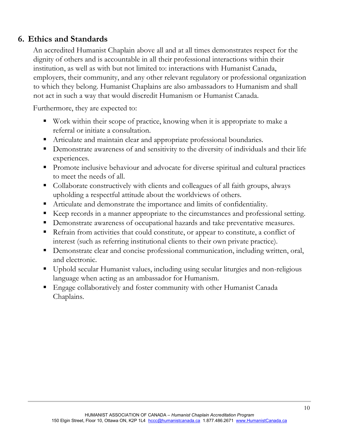# **6. Ethics and Standards**

An accredited Humanist Chaplain above all and at all times demonstrates respect for the dignity of others and is accountable in all their professional interactions within their institution, as well as with but not limited to: interactions with Humanist Canada, employers, their community, and any other relevant regulatory or professional organization to which they belong. Humanist Chaplains are also ambassadors to Humanism and shall not act in such a way that would discredit Humanism or Humanist Canada.

Furthermore, they are expected to:

- Work within their scope of practice, knowing when it is appropriate to make a referral or initiate a consultation.
- Articulate and maintain clear and appropriate professional boundaries.
- **•** Demonstrate awareness of and sensitivity to the diversity of individuals and their life experiences.
- **Promote inclusive behaviour and advocate for diverse spiritual and cultural practices** to meet the needs of all.
- Collaborate constructively with clients and colleagues of all faith groups, always upholding a respectful attitude about the worldviews of others.
- Articulate and demonstrate the importance and limits of confidentiality.
- Keep records in a manner appropriate to the circumstances and professional setting.
- Demonstrate awareness of occupational hazards and take preventative measures.
- Refrain from activities that could constitute, or appear to constitute, a conflict of interest (such as referring institutional clients to their own private practice).
- Demonstrate clear and concise professional communication, including written, oral, and electronic.
- Uphold secular Humanist values, including using secular liturgies and non-religious language when acting as an ambassador for Humanism.
- Engage collaboratively and foster community with other Humanist Canada Chaplains.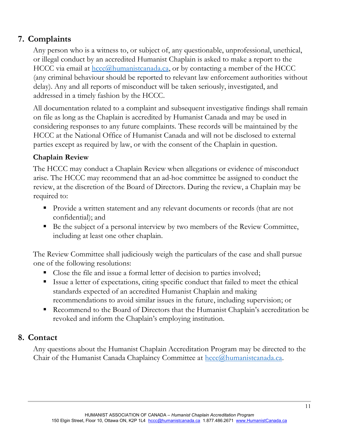# **7. Complaints**

Any person who is a witness to, or subject of, any questionable, unprofessional, unethical, or illegal conduct by an accredited Humanist Chaplain is asked to make a report to the HCCC via email at  $hccc@$ humanistcanada.ca, or by contacting a member of the HCCC (any criminal behaviour should be reported to relevant law enforcement authorities without delay). Any and all reports of misconduct will be taken seriously, investigated, and addressed in a timely fashion by the HCCC.

All documentation related to a complaint and subsequent investigative findings shall remain on file as long as the Chaplain is accredited by Humanist Canada and may be used in considering responses to any future complaints. These records will be maintained by the HCCC at the National Office of Humanist Canada and will not be disclosed to external parties except as required by law, or with the consent of the Chaplain in question.

# **Chaplain Review**

The HCCC may conduct a Chaplain Review when allegations or evidence of misconduct arise. The HCCC may recommend that an ad-hoc committee be assigned to conduct the review, at the discretion of the Board of Directors. During the review, a Chaplain may be required to:

- **Provide a written statement and any relevant documents or records (that are not** confidential); and
- Be the subject of a personal interview by two members of the Review Committee, including at least one other chaplain.

The Review Committee shall judiciously weigh the particulars of the case and shall pursue one of the following resolutions:

- Close the file and issue a formal letter of decision to parties involved;
- Issue a letter of expectations, citing specific conduct that failed to meet the ethical standards expected of an accredited Humanist Chaplain and making recommendations to avoid similar issues in the future, including supervision; or
- Recommend to the Board of Directors that the Humanist Chaplain's accreditation be revoked and inform the Chaplain's employing institution.

# **8. Contact**

Any questions about the Humanist Chaplain Accreditation Program may be directed to the Chair of the Humanist Canada Chaplaincy Committee at  $hccc@$ humanistcanada.ca.